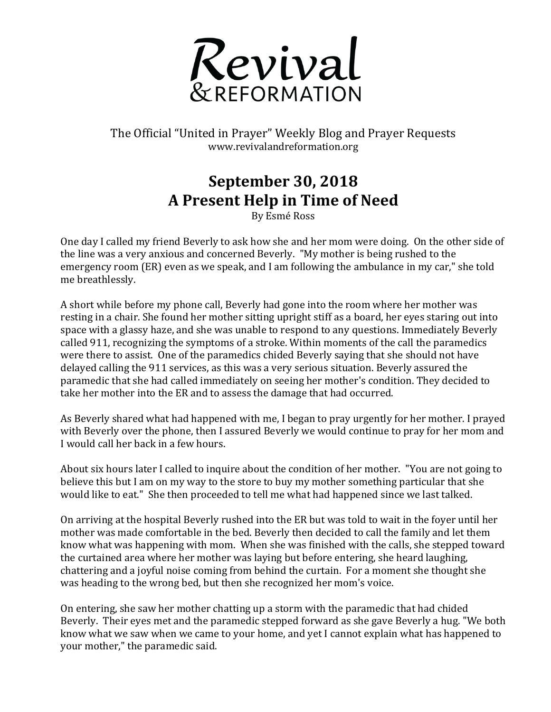

The Official "United in Prayer" Weekly Blog and Prayer Requests www.revivalandreformation.org

## **September 30, 2018 A Present Help in Time of Need**

By Esmé Ross

One day I called my friend Beverly to ask how she and her mom were doing. On the other side of the line was a very anxious and concerned Beverly. "My mother is being rushed to the emergency room (ER) even as we speak, and I am following the ambulance in my car," she told me breathlessly.

A short while before my phone call, Beverly had gone into the room where her mother was resting in a chair. She found her mother sitting upright stiff as a board, her eves staring out into space with a glassy haze, and she was unable to respond to any questions. Immediately Beverly called 911, recognizing the symptoms of a stroke. Within moments of the call the paramedics were there to assist. One of the paramedics chided Beverly saying that she should not have delayed calling the 911 services, as this was a very serious situation. Beverly assured the paramedic that she had called immediately on seeing her mother's condition. They decided to take her mother into the ER and to assess the damage that had occurred.

As Beverly shared what had happened with me, I began to pray urgently for her mother. I prayed with Beverly over the phone, then I assured Beverly we would continue to pray for her mom and I would call her back in a few hours.

About six hours later I called to inquire about the condition of her mother. "You are not going to believe this but I am on my way to the store to buy my mother something particular that she would like to eat." She then proceeded to tell me what had happened since we last talked.

On arriving at the hospital Beverly rushed into the ER but was told to wait in the foyer until her mother was made comfortable in the bed. Beverly then decided to call the family and let them know what was happening with mom. When she was finished with the calls, she stepped toward the curtained area where her mother was laying but before entering, she heard laughing, chattering and a joyful noise coming from behind the curtain. For a moment she thought she was heading to the wrong bed, but then she recognized her mom's voice.

On entering, she saw her mother chatting up a storm with the paramedic that had chided Beverly. Their eyes met and the paramedic stepped forward as she gave Beverly a hug. "We both know what we saw when we came to your home, and yet I cannot explain what has happened to your mother," the paramedic said.